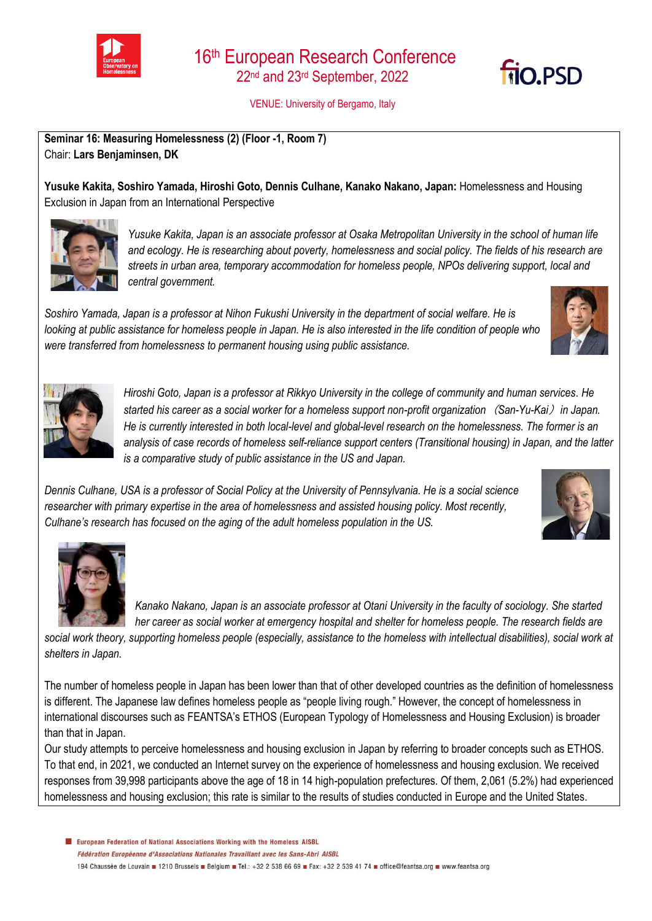

VENUE: University of Bergamo, Italy

**Seminar 16: Measuring Homelessness (2) (Floor -1, Room 7)** Chair: **Lars Benjaminsen, DK** 

**Yusuke Kakita, Soshiro Yamada, Hiroshi Goto, Dennis Culhane, Kanako Nakano, Japan:** Homelessness and Housing Exclusion in Japan from an International Perspective



*Yusuke Kakita, Japan is an associate professor at Osaka Metropolitan University in the school of human life and ecology. He is researching about poverty, homelessness and social policy. The fields of his research are streets in urban area, temporary accommodation for homeless people, NPOs delivering support, local and central government.*

*Soshiro Yamada, Japan is a professor at Nihon Fukushi University in the department of social welfare. He is looking at public assistance for homeless people in Japan. He is also interested in the life condition of people who were transferred from homelessness to permanent housing using public assistance.*



**TIO, PSD** 



*Hiroshi Goto, Japan is a professor at Rikkyo University in the college of community and human services. He started his career as a social worker for a homeless support non-profit organization*(*San-Yu-Kai*)*in Japan. He is currently interested in both local-level and global-level research on the homelessness. The former is an analysis of case records of homeless self-reliance support centers (Transitional housing) in Japan, and the latter is a comparative study of public assistance in the US and Japan.*

*Dennis Culhane, USA is a professor of Social Policy at the University of Pennsylvania. He is a social science researcher with primary expertise in the area of homelessness and assisted housing policy. Most recently, Culhane's research has focused on the aging of the adult homeless population in the US.*





*Kanako Nakano, Japan is an associate professor at Otani University in the faculty of sociology. She started her career as social worker at emergency hospital and shelter for homeless people. The research fields are* 

*social work theory, supporting homeless people (especially, assistance to the homeless with intellectual disabilities), social work at shelters in Japan.*

The number of homeless people in Japan has been lower than that of other developed countries as the definition of homelessness is different. The Japanese law defines homeless people as "people living rough." However, the concept of homelessness in international discourses such as FEANTSA's ETHOS (European Typology of Homelessness and Housing Exclusion) is broader than that in Japan.

Our study attempts to perceive homelessness and housing exclusion in Japan by referring to broader concepts such as ETHOS. To that end, in 2021, we conducted an Internet survey on the experience of homelessness and housing exclusion. We received responses from 39,998 participants above the age of 18 in 14 high-population prefectures. Of them, 2,061 (5.2%) had experienced homelessness and housing exclusion; this rate is similar to the results of studies conducted in Europe and the United States.